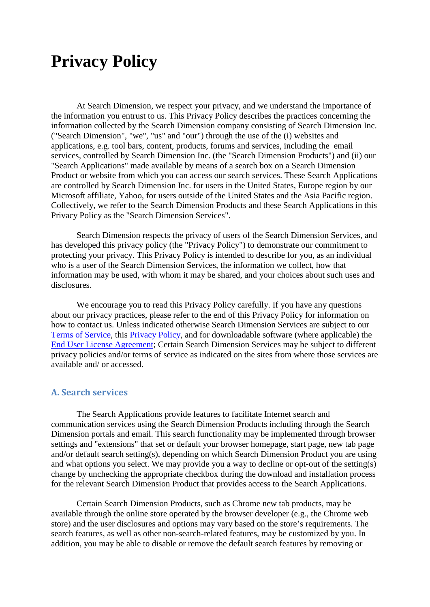# **Privacy Policy**

At Search Dimension, we respect your privacy, and we understand the importance of the information you entrust to us. This Privacy Policy describes the practices concerning the information collected by the Search Dimension company consisting of Search Dimension Inc. ("Search Dimension", "we", "us" and "our") through the use of the (i) websites and applications, e.g. tool bars, content, products, forums and services, including the email services, controlled by Search Dimension Inc. (the "Search Dimension Products") and (ii) our "Search Applications" made available by means of a search box on a Search Dimension Product or website from which you can access our search services. These Search Applications are controlled by Search Dimension Inc. for users in the United States, Europe region by our Microsoft affiliate, Yahoo, for users outside of the United States and the Asia Pacific region. Collectively, we refer to the Search Dimension Products and these Search Applications in this Privacy Policy as the "Search Dimension Services".

Search Dimension respects the privacy of users of the Search Dimension Services, and has developed this privacy policy (the "Privacy Policy") to demonstrate our commitment to protecting your privacy. This Privacy Policy is intended to describe for you, as an individual who is a user of the Search Dimension Services, the information we collect, how that information may be used, with whom it may be shared, and your choices about such uses and disclosures.

We encourage you to read this Privacy Policy carefully. If you have any questions about our privacy practices, please refer to the end of this Privacy Policy for information on how to contact us. Unless indicated otherwise Search Dimension Services are subject to our [Terms of Service,](https://searchdimension.com/tos/) this [Privacy Policy,](https://searchdimension.com/privacy_policy/) and for downloadable software (where applicable) the [End User License Agreement;](https://searchdimension.com/eula/) Certain Search Dimension Services may be subject to different privacy policies and/or terms of service as indicated on the sites from where those services are available and/ or accessed.

## **A. Search services**

The Search Applications provide features to facilitate Internet search and communication services using the Search Dimension Products including through the Search Dimension portals and email. This search functionality may be implemented through browser settings and "extensions" that set or default your browser homepage, start page, new tab page and/or default search setting(s), depending on which Search Dimension Product you are using and what options you select. We may provide you a way to decline or opt-out of the setting(s) change by unchecking the appropriate checkbox during the download and installation process for the relevant Search Dimension Product that provides access to the Search Applications.

Certain Search Dimension Products, such as Chrome new tab products, may be available through the online store operated by the browser developer (e.g., the Chrome web store) and the user disclosures and options may vary based on the store's requirements. The search features, as well as other non-search-related features, may be customized by you. In addition, you may be able to disable or remove the default search features by removing or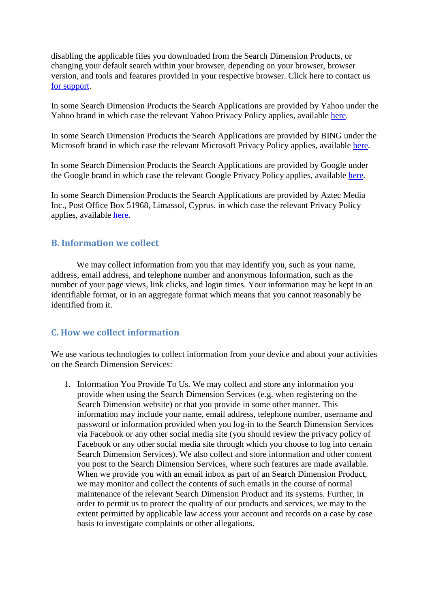disabling the applicable files you downloaded from the Search Dimension Products, or changing your default search within your browser, depending on your browser, browser version, and tools and features provided in your respective browser. Click here to contact us [for support.](mailto:searchdimension@gmail.com)

In some Search Dimension Products the Search Applications are provided by Yahoo under the Yahoo brand in which case the relevant Yahoo Privacy Policy applies, available [here.](https://policies.yahoo.com/us/en/yahoo/privacy/index.htm)

In some Search Dimension Products the Search Applications are provided by BING under the Microsoft brand in which case the relevant Microsoft Privacy Policy applies, available [here.](https://privacy.microsoft.com/en-us/privacystatement/)

In some Search Dimension Products the Search Applications are provided by Google under the Google brand in which case the relevant Google Privacy Policy applies, available [here.](https://www.google.com/policies/privacy/)

In some Search Dimension Products the Search Applications are provided by Aztec Media Inc., Post Office Box 51968, Limassol, Cyprus. in which case the relevant Privacy Policy applies, available [here.](http://www.blpsearch.com/privacy/)

## **B. Information we collect**

We may collect information from you that may identify you, such as your name, address, email address, and telephone number and anonymous Information, such as the number of your page views, link clicks, and login times. Your information may be kept in an identifiable format, or in an aggregate format which means that you cannot reasonably be identified from it.

# **C. How we collect information**

We use various technologies to collect information from your device and about your activities on the Search Dimension Services:

1. Information You Provide To Us. We may collect and store any information you provide when using the Search Dimension Services (e.g. when registering on the Search Dimension website) or that you provide in some other manner. This information may include your name, email address, telephone number, username and password or information provided when you log-in to the Search Dimension Services via Facebook or any other social media site (you should review the privacy policy of Facebook or any other social media site through which you choose to log into certain Search Dimension Services). We also collect and store information and other content you post to the Search Dimension Services, where such features are made available. When we provide you with an email inbox as part of an Search Dimension Product, we may monitor and collect the contents of such emails in the course of normal maintenance of the relevant Search Dimension Product and its systems. Further, in order to permit us to protect the quality of our products and services, we may to the extent permitted by applicable law access your account and records on a case by case basis to investigate complaints or other allegations.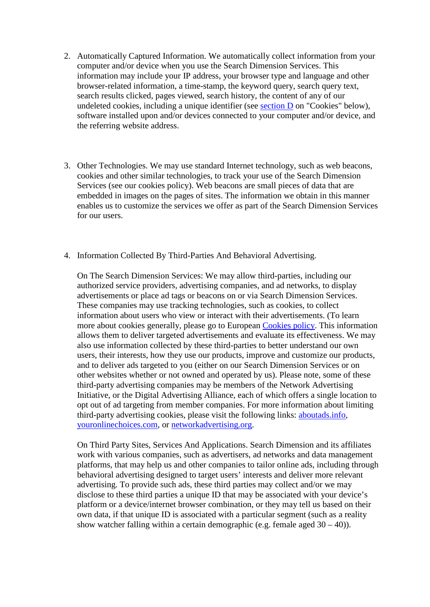- 2. Automatically Captured Information. We automatically collect information from your computer and/or device when you use the Search Dimension Services. This information may include your IP address, your browser type and language and other browser-related information, a time-stamp, the keyword query, search query text, search results clicked, pages viewed, search history, the content of any of our undeleted cookies, including a unique identifier (see [section D](https://searchdimension.com/privacy_policy/#cookies) on "Cookies" below), software installed upon and/or devices connected to your computer and/or device, and the referring website address.
- 3. Other Technologies. We may use standard Internet technology, such as web beacons, cookies and other similar technologies, to track your use of the Search Dimension Services (see our cookies policy). Web beacons are small pieces of data that are embedded in images on the pages of sites. The information we obtain in this manner enables us to customize the services we offer as part of the Search Dimension Services for our users.
- 4. Information Collected By Third-Parties And Behavioral Advertising.

On The Search Dimension Services: We may allow third-parties, including our authorized service providers, advertising companies, and ad networks, to display advertisements or place ad tags or beacons on or via Search Dimension Services. These companies may use tracking technologies, such as cookies, to collect information about users who view or interact with their advertisements. (To learn more about cookies generally, please go to European [Cookies policy.](http://ec.europa.eu/ipg/basics/legal/cookies/index_en.htm) This information allows them to deliver targeted advertisements and evaluate its effectiveness. We may also use information collected by these third-parties to better understand our own users, their interests, how they use our products, improve and customize our products, and to deliver ads targeted to you (either on our Search Dimension Services or on other websites whether or not owned and operated by us). Please note, some of these third-party advertising companies may be members of the Network Advertising Initiative, or the Digital Advertising Alliance, each of which offers a single location to opt out of ad targeting from member companies. For more information about limiting third-party advertising cookies, please visit the following links: [aboutads.info,](http://www.aboutads.info/) [youronlinechoices.com,](http://www.youronlinechoices.com/) or [networkadvertising.org.](http://www.networkadvertising.org/)

On Third Party Sites, Services And Applications. Search Dimension and its affiliates work with various companies, such as advertisers, ad networks and data management platforms, that may help us and other companies to tailor online ads, including through behavioral advertising designed to target users' interests and deliver more relevant advertising. To provide such ads, these third parties may collect and/or we may disclose to these third parties a unique ID that may be associated with your device's platform or a device/internet browser combination, or they may tell us based on their own data, if that unique ID is associated with a particular segment (such as a reality show watcher falling within a certain demographic (e.g. female aged  $30 - 40$ )).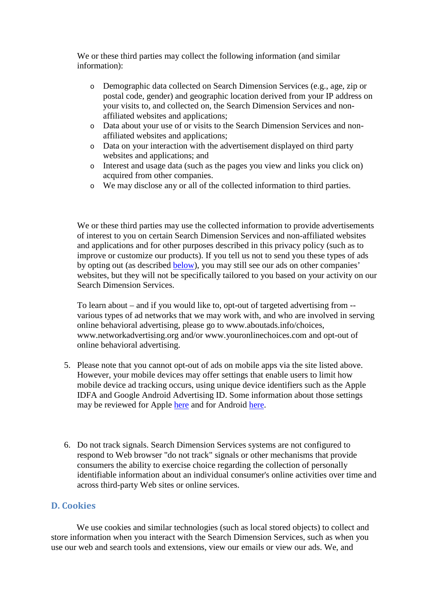We or these third parties may collect the following information (and similar information):

- o Demographic data collected on Search Dimension Services (e.g., age, zip or postal code, gender) and geographic location derived from your IP address on your visits to, and collected on, the Search Dimension Services and nonaffiliated websites and applications;
- o Data about your use of or visits to the Search Dimension Services and nonaffiliated websites and applications;
- o Data on your interaction with the advertisement displayed on third party websites and applications; and
- o Interest and usage data (such as the pages you view and links you click on) acquired from other companies.
- o We may disclose any or all of the collected information to third parties.

We or these third parties may use the collected information to provide advertisements of interest to you on certain Search Dimension Services and non-affiliated websites and applications and for other purposes described in this privacy policy (such as to improve or customize our products). If you tell us not to send you these types of ads by opting out (as described [below\)](https://searchdimension.com/privacy_policy/#cookies), you may still see our ads on other companies' websites, but they will not be specifically tailored to you based on your activity on our Search Dimension Services.

To learn about – and if you would like to, opt-out of targeted advertising from - various types of ad networks that we may work with, and who are involved in serving online behavioral advertising, please go to www.aboutads.info/choices, www.networkadvertising.org and/or www.youronlinechoices.com and opt-out of online behavioral advertising.

- 5. Please note that you cannot opt-out of ads on mobile apps via the site listed above. However, your mobile devices may offer settings that enable users to limit how mobile device ad tracking occurs, using unique device identifiers such as the Apple IDFA and Google Android Advertising ID. Some information about those settings may be reviewed for Apple [here](http://support.apple.com/kb/HT4228) and for Android [here.](https://support.google.com/ads/answer/2662922?hl=en)
- 6. Do not track signals. Search Dimension Services systems are not configured to respond to Web browser "do not track" signals or other mechanisms that provide consumers the ability to exercise choice regarding the collection of personally identifiable information about an individual consumer's online activities over time and across third-party Web sites or online services.

## **D. Cookies**

We use cookies and similar technologies (such as local stored objects) to collect and store information when you interact with the Search Dimension Services, such as when you use our web and search tools and extensions, view our emails or view our ads. We, and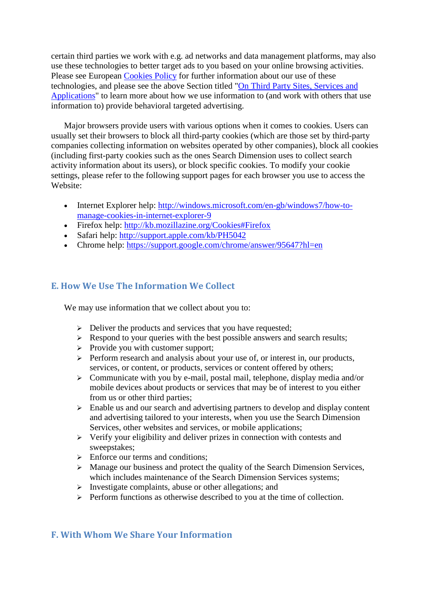certain third parties we work with e.g. ad networks and data management platforms, may also use these technologies to better target ads to you based on your online browsing activities. Please see European [Cookies Policy](http://ec.europa.eu/ipg/basics/legal/cookies/index_en.htm) for further information about our use of these technologies, and please see the above Section titled ["On Third Party Sites, Services and](https://searchdimension.com/privacy_policy/#tsa) [Applications"](https://searchdimension.com/privacy_policy/#tsa) to learn more about how we use information to (and work with others that use information to) provide behavioral targeted advertising.

Major browsers provide users with various options when it comes to cookies. Users can usually set their browsers to block all third-party cookies (which are those set by third-party companies collecting information on websites operated by other companies), block all cookies (including first-party cookies such as the ones Search Dimension uses to collect search activity information about its users), or block specific cookies. To modify your cookie settings, please refer to the following support pages for each browser you use to access the Website:

- Internet Explorer help: [http://windows.microsoft.com/en-gb/windows7/how-to](http://windows.microsoft.com/en-gb/windows7/how-to-manage-cookies-in-internet-explorer-9)[manage-cookies-in-internet-explorer-9](http://windows.microsoft.com/en-gb/windows7/how-to-manage-cookies-in-internet-explorer-9)
- Firefox help:<http://kb.mozillazine.org/Cookies#Firefox>
- Safari help:<http://support.apple.com/kb/PH5042>
- Chrome help:<https://support.google.com/chrome/answer/95647?hl=en>

# **E. How We Use The Information We Collect**

We may use information that we collect about you to:

- $\triangleright$  Deliver the products and services that you have requested;
- $\triangleright$  Respond to your queries with the best possible answers and search results;
- $\triangleright$  Provide you with customer support;
- $\triangleright$  Perform research and analysis about your use of, or interest in, our products, services, or content, or products, services or content offered by others;
- $\triangleright$  Communicate with you by e-mail, postal mail, telephone, display media and/or mobile devices about products or services that may be of interest to you either from us or other third parties;
- $\triangleright$  Enable us and our search and advertising partners to develop and display content and advertising tailored to your interests, when you use the Search Dimension Services, other websites and services, or mobile applications;
- $\triangleright$  Verify your eligibility and deliver prizes in connection with contests and sweepstakes;
- $\triangleright$  Enforce our terms and conditions;
- > Manage our business and protect the quality of the Search Dimension Services, which includes maintenance of the Search Dimension Services systems;
- $\triangleright$  Investigate complaints, abuse or other allegations; and
- $\triangleright$  Perform functions as otherwise described to you at the time of collection.

## **F. With Whom We Share Your Information**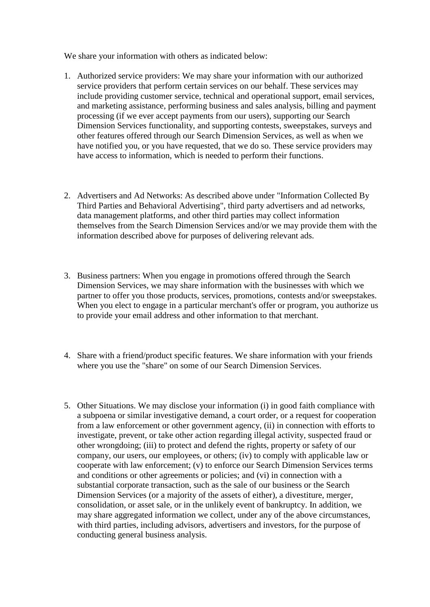We share your information with others as indicated below:

- 1. Authorized service providers: We may share your information with our authorized service providers that perform certain services on our behalf. These services may include providing customer service, technical and operational support, email services, and marketing assistance, performing business and sales analysis, billing and payment processing (if we ever accept payments from our users), supporting our Search Dimension Services functionality, and supporting contests, sweepstakes, surveys and other features offered through our Search Dimension Services, as well as when we have notified you, or you have requested, that we do so. These service providers may have access to information, which is needed to perform their functions.
- 2. Advertisers and Ad Networks: As described above under "Information Collected By Third Parties and Behavioral Advertising", third party advertisers and ad networks, data management platforms, and other third parties may collect information themselves from the Search Dimension Services and/or we may provide them with the information described above for purposes of delivering relevant ads.
- 3. Business partners: When you engage in promotions offered through the Search Dimension Services, we may share information with the businesses with which we partner to offer you those products, services, promotions, contests and/or sweepstakes. When you elect to engage in a particular merchant's offer or program, you authorize us to provide your email address and other information to that merchant.
- 4. Share with a friend/product specific features. We share information with your friends where you use the "share" on some of our Search Dimension Services.
- 5. Other Situations. We may disclose your information (i) in good faith compliance with a subpoena or similar investigative demand, a court order, or a request for cooperation from a law enforcement or other government agency, (ii) in connection with efforts to investigate, prevent, or take other action regarding illegal activity, suspected fraud or other wrongdoing; (iii) to protect and defend the rights, property or safety of our company, our users, our employees, or others; (iv) to comply with applicable law or cooperate with law enforcement; (v) to enforce our Search Dimension Services terms and conditions or other agreements or policies; and (vi) in connection with a substantial corporate transaction, such as the sale of our business or the Search Dimension Services (or a majority of the assets of either), a divestiture, merger, consolidation, or asset sale, or in the unlikely event of bankruptcy. In addition, we may share aggregated information we collect, under any of the above circumstances, with third parties, including advisors, advertisers and investors, for the purpose of conducting general business analysis.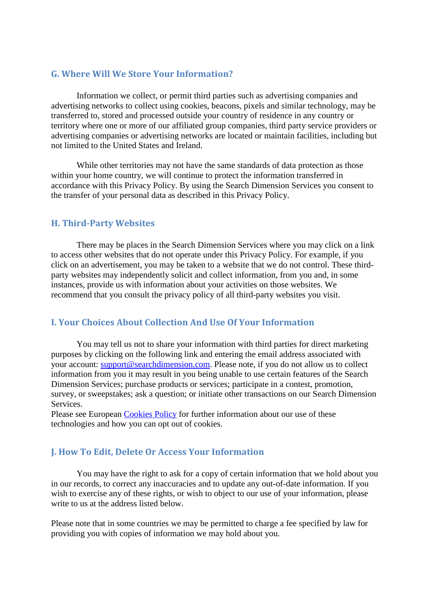# **G. Where Will We Store Your Information?**

Information we collect, or permit third parties such as advertising companies and advertising networks to collect using cookies, beacons, pixels and similar technology, may be transferred to, stored and processed outside your country of residence in any country or territory where one or more of our affiliated group companies, third party service providers or advertising companies or advertising networks are located or maintain facilities, including but not limited to the United States and Ireland.

While other territories may not have the same standards of data protection as those within your home country, we will continue to protect the information transferred in accordance with this Privacy Policy. By using the Search Dimension Services you consent to the transfer of your personal data as described in this Privacy Policy.

# **H. Third-Party Websites**

There may be places in the Search Dimension Services where you may click on a link to access other websites that do not operate under this Privacy Policy. For example, if you click on an advertisement, you may be taken to a website that we do not control. These thirdparty websites may independently solicit and collect information, from you and, in some instances, provide us with information about your activities on those websites. We recommend that you consult the privacy policy of all third-party websites you visit.

# **I. Your Choices About Collection And Use Of Your Information**

You may tell us not to share your information with third parties for direct marketing purposes by clicking on the following link and entering the email address associated with your account: [support@searchdimension.com.](mailto:support@searchdimension.com) Please note, if you do not allow us to collect information from you it may result in you being unable to use certain features of the Search Dimension Services; purchase products or services; participate in a contest, promotion, survey, or sweepstakes; ask a question; or initiate other transactions on our Search Dimension Services.

Please see European [Cookies Policy](http://ec.europa.eu/ipg/basics/legal/cookies/index_en.htm) for further information about our use of these technologies and how you can opt out of cookies.

# **J. How To Edit, Delete Or Access Your Information**

You may have the right to ask for a copy of certain information that we hold about you in our records, to correct any inaccuracies and to update any out-of-date information. If you wish to exercise any of these rights, or wish to object to our use of your information, please write to us at the address listed below.

Please note that in some countries we may be permitted to charge a fee specified by law for providing you with copies of information we may hold about you.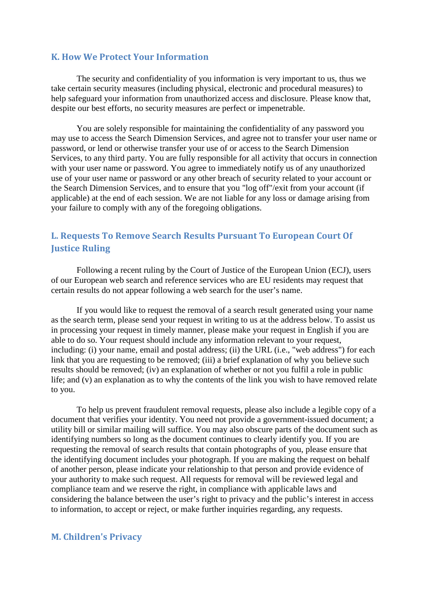#### **K. How We Protect Your Information**

The security and confidentiality of you information is very important to us, thus we take certain security measures (including physical, electronic and procedural measures) to help safeguard your information from unauthorized access and disclosure. Please know that, despite our best efforts, no security measures are perfect or impenetrable.

You are solely responsible for maintaining the confidentiality of any password you may use to access the Search Dimension Services, and agree not to transfer your user name or password, or lend or otherwise transfer your use of or access to the Search Dimension Services, to any third party. You are fully responsible for all activity that occurs in connection with your user name or password. You agree to immediately notify us of any unauthorized use of your user name or password or any other breach of security related to your account or the Search Dimension Services, and to ensure that you "log off"/exit from your account (if applicable) at the end of each session. We are not liable for any loss or damage arising from your failure to comply with any of the foregoing obligations.

# **L. Requests To Remove Search Results Pursuant To European Court Of Justice Ruling**

Following a recent ruling by the Court of Justice of the European Union (ECJ), users of our European web search and reference services who are EU residents may request that certain results do not appear following a web search for the user's name.

If you would like to request the removal of a search result generated using your name as the search term, please send your request in writing to us at the address below. To assist us in processing your request in timely manner, please make your request in English if you are able to do so. Your request should include any information relevant to your request, including: (i) your name, email and postal address; (ii) the URL (i.e., "web address") for each link that you are requesting to be removed; (iii) a brief explanation of why you believe such results should be removed; (iv) an explanation of whether or not you fulfil a role in public life; and (v) an explanation as to why the contents of the link you wish to have removed relate to you.

To help us prevent fraudulent removal requests, please also include a legible copy of a document that verifies your identity. You need not provide a government-issued document; a utility bill or similar mailing will suffice. You may also obscure parts of the document such as identifying numbers so long as the document continues to clearly identify you. If you are requesting the removal of search results that contain photographs of you, please ensure that the identifying document includes your photograph. If you are making the request on behalf of another person, please indicate your relationship to that person and provide evidence of your authority to make such request. All requests for removal will be reviewed legal and compliance team and we reserve the right, in compliance with applicable laws and considering the balance between the user's right to privacy and the public's interest in access to information, to accept or reject, or make further inquiries regarding, any requests.

#### **M. Children's Privacy**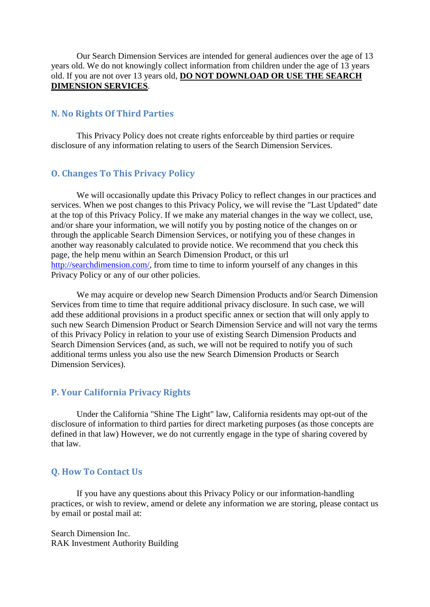Our Search Dimension Services are intended for general audiences over the age of 13 years old. We do not knowingly collect information from children under the age of 13 years old. If you are not over 13 years old, **DO NOT DOWNLOAD OR USE THE SEARCH DIMENSION SERVICES**.

#### **N. No Rights Of Third Parties**

This Privacy Policy does not create rights enforceable by third parties or require disclosure of any information relating to users of the Search Dimension Services.

# **O. Changes To This Privacy Policy**

We will occasionally update this Privacy Policy to reflect changes in our practices and services. When we post changes to this Privacy Policy, we will revise the "Last Updated" date at the top of this Privacy Policy. If we make any material changes in the way we collect, use, and/or share your information, we will notify you by posting notice of the changes on or through the applicable Search Dimension Services, or notifying you of these changes in another way reasonably calculated to provide notice. We recommend that you check this page, the help menu within an Search Dimension Product, or this url [http://searchdimension.com/,](http://searchdimension.com/) from time to time to inform yourself of any changes in this Privacy Policy or any of our other policies.

We may acquire or develop new Search Dimension Products and/or Search Dimension Services from time to time that require additional privacy disclosure. In such case, we will add these additional provisions in a product specific annex or section that will only apply to such new Search Dimension Product or Search Dimension Service and will not vary the terms of this Privacy Policy in relation to your use of existing Search Dimension Products and Search Dimension Services (and, as such, we will not be required to notify you of such additional terms unless you also use the new Search Dimension Products or Search Dimension Services).

#### **P. Your California Privacy Rights**

Under the California "Shine The Light" law, California residents may opt-out of the disclosure of information to third parties for direct marketing purposes (as those concepts are defined in that law) However, we do not currently engage in the type of sharing covered by that law.

## **Q. How To Contact Us**

If you have any questions about this Privacy Policy or our information-handling practices, or wish to review, amend or delete any information we are storing, please contact us by email or postal mail at:

Search Dimension Inc. RAK Investment Authority Building